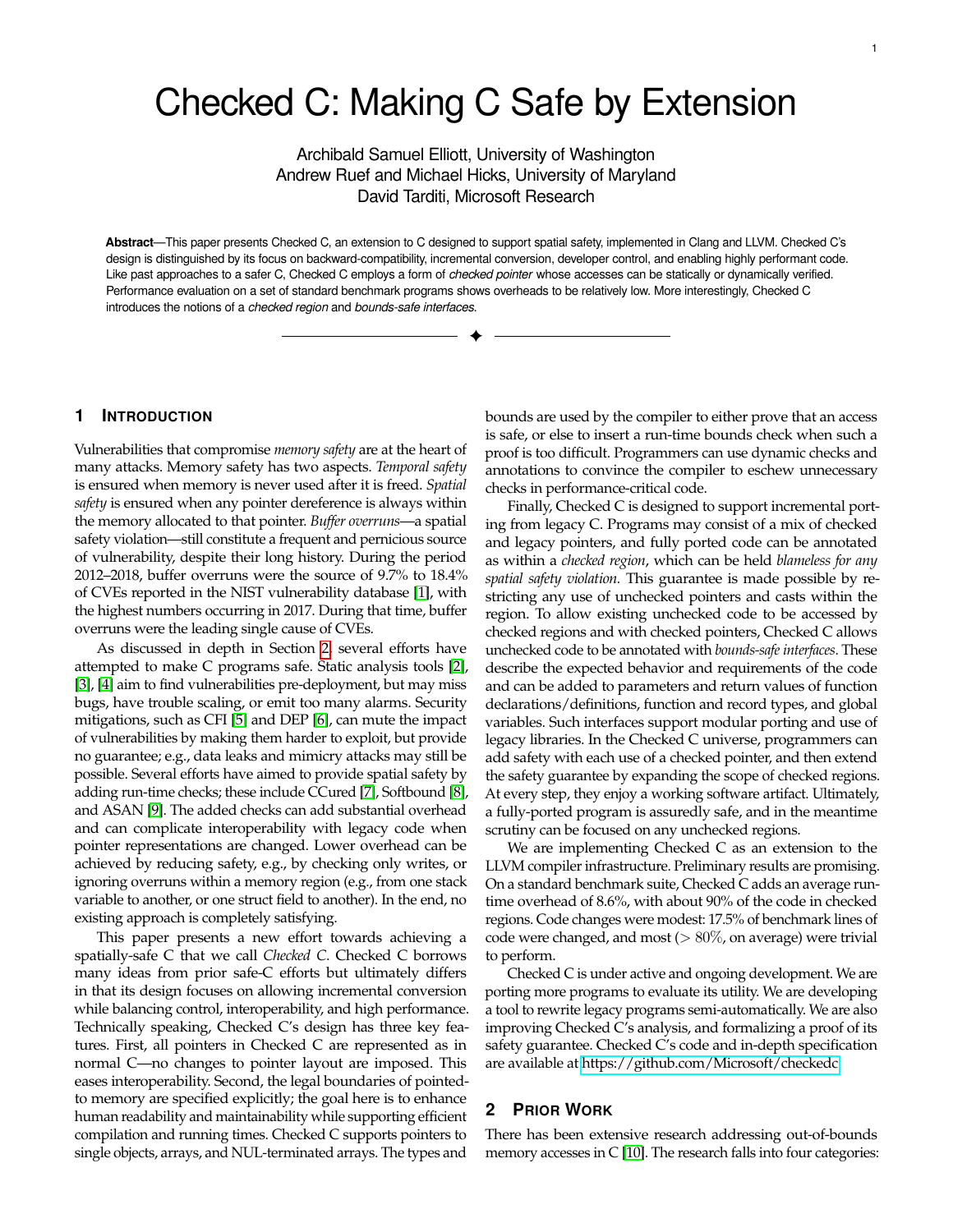# Checked C: Making C Safe by Extension

Archibald Samuel Elliott, University of Washington Andrew Ruef and Michael Hicks, University of Maryland David Tarditi, Microsoft Research

**Abstract**—This paper presents Checked C, an extension to C designed to support spatial safety, implemented in Clang and LLVM. Checked C's design is distinguished by its focus on backward-compatibility, incremental conversion, developer control, and enabling highly performant code. Like past approaches to a safer C, Checked C employs a form of *checked pointer* whose accesses can be statically or dynamically verified. Performance evaluation on a set of standard benchmark programs shows overheads to be relatively low. More interestingly, Checked C introduces the notions of a *checked region* and *bounds-safe interfaces*.

✦

## **1 INTRODUCTION**

Vulnerabilities that compromise *memory safety* are at the heart of many attacks. Memory safety has two aspects. *Temporal safety* is ensured when memory is never used after it is freed. *Spatial safety* is ensured when any pointer dereference is always within the memory allocated to that pointer. *Buffer overruns*—a spatial safety violation—still constitute a frequent and pernicious source of vulnerability, despite their long history. During the period 2012–2018, buffer overruns were the source of 9.7% to 18.4% of CVEs reported in the NIST vulnerability database [\[1\]](#page-6-0), with the highest numbers occurring in 2017. During that time, buffer overruns were the leading single cause of CVEs.

As discussed in depth in Section [2,](#page-0-0) several efforts have attempted to make C programs safe. Static analysis tools [\[2\]](#page-6-1), [\[3\]](#page-6-2), [\[4\]](#page-6-3) aim to find vulnerabilities pre-deployment, but may miss bugs, have trouble scaling, or emit too many alarms. Security mitigations, such as CFI [\[5\]](#page-6-4) and DEP [\[6\]](#page-6-5), can mute the impact of vulnerabilities by making them harder to exploit, but provide no guarantee; e.g., data leaks and mimicry attacks may still be possible. Several efforts have aimed to provide spatial safety by adding run-time checks; these include CCured [\[7\]](#page-6-6), Softbound [\[8\]](#page-6-7), and ASAN [\[9\]](#page-6-8). The added checks can add substantial overhead and can complicate interoperability with legacy code when pointer representations are changed. Lower overhead can be achieved by reducing safety, e.g., by checking only writes, or ignoring overruns within a memory region (e.g., from one stack variable to another, or one struct field to another). In the end, no existing approach is completely satisfying.

This paper presents a new effort towards achieving a spatially-safe C that we call *Checked C*. Checked C borrows many ideas from prior safe-C efforts but ultimately differs in that its design focuses on allowing incremental conversion while balancing control, interoperability, and high performance. Technically speaking, Checked C's design has three key features. First, all pointers in Checked C are represented as in normal C—no changes to pointer layout are imposed. This eases interoperability. Second, the legal boundaries of pointedto memory are specified explicitly; the goal here is to enhance human readability and maintainability while supporting efficient compilation and running times. Checked C supports pointers to single objects, arrays, and NUL-terminated arrays. The types and

bounds are used by the compiler to either prove that an access is safe, or else to insert a run-time bounds check when such a proof is too difficult. Programmers can use dynamic checks and annotations to convince the compiler to eschew unnecessary checks in performance-critical code.

Finally, Checked C is designed to support incremental porting from legacy C. Programs may consist of a mix of checked and legacy pointers, and fully ported code can be annotated as within a *checked region*, which can be held *blameless for any spatial safety violation.* This guarantee is made possible by restricting any use of unchecked pointers and casts within the region. To allow existing unchecked code to be accessed by checked regions and with checked pointers, Checked C allows unchecked code to be annotated with *bounds-safe interfaces*. These describe the expected behavior and requirements of the code and can be added to parameters and return values of function declarations/definitions, function and record types, and global variables. Such interfaces support modular porting and use of legacy libraries. In the Checked C universe, programmers can add safety with each use of a checked pointer, and then extend the safety guarantee by expanding the scope of checked regions. At every step, they enjoy a working software artifact. Ultimately, a fully-ported program is assuredly safe, and in the meantime scrutiny can be focused on any unchecked regions.

We are implementing Checked C as an extension to the LLVM compiler infrastructure. Preliminary results are promising. On a standard benchmark suite, Checked C adds an average runtime overhead of 8.6%, with about 90% of the code in checked regions. Code changes were modest: 17.5% of benchmark lines of code were changed, and most  $(> 80\%$ , on average) were trivial to perform.

Checked C is under active and ongoing development. We are porting more programs to evaluate its utility. We are developing a tool to rewrite legacy programs semi-automatically. We are also improving Checked C's analysis, and formalizing a proof of its safety guarantee. Checked C's code and in-depth specification are available at [https://github.com/Microsoft/checkedc.](https://github.com/Microsoft/checkedc)

## <span id="page-0-0"></span>**2 PRIOR WORK**

There has been extensive research addressing out-of-bounds memory accesses in C [\[10\]](#page-6-9). The research falls into four categories: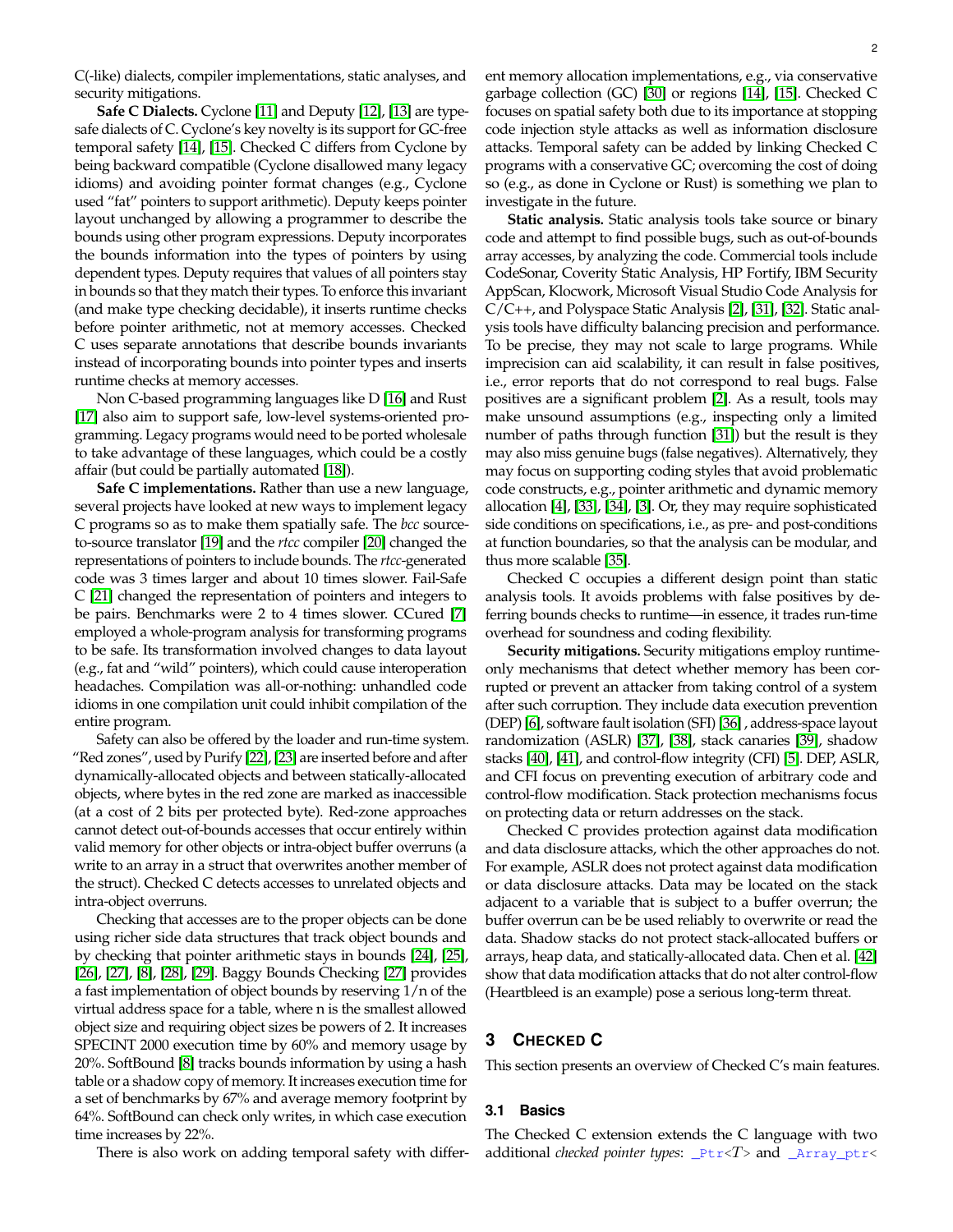C(-like) dialects, compiler implementations, static analyses, and security mitigations.

**Safe C Dialects.** Cyclone [\[11\]](#page-7-0) and Deputy [\[12\]](#page-7-1), [\[13\]](#page-7-2) are typesafe dialects of C. Cyclone's key novelty is its support for GC-free temporal safety [\[14\]](#page-7-3), [\[15\]](#page-7-4). Checked C differs from Cyclone by being backward compatible (Cyclone disallowed many legacy idioms) and avoiding pointer format changes (e.g., Cyclone used "fat" pointers to support arithmetic). Deputy keeps pointer layout unchanged by allowing a programmer to describe the bounds using other program expressions. Deputy incorporates the bounds information into the types of pointers by using dependent types. Deputy requires that values of all pointers stay in bounds so that they match their types. To enforce this invariant (and make type checking decidable), it inserts runtime checks before pointer arithmetic, not at memory accesses. Checked C uses separate annotations that describe bounds invariants instead of incorporating bounds into pointer types and inserts runtime checks at memory accesses.

Non C-based programming languages like D [\[16\]](#page-7-5) and Rust [\[17\]](#page-7-6) also aim to support safe, low-level systems-oriented programming. Legacy programs would need to be ported wholesale to take advantage of these languages, which could be a costly affair (but could be partially automated [\[18\]](#page-7-7)).

**Safe C implementations.** Rather than use a new language, several projects have looked at new ways to implement legacy C programs so as to make them spatially safe. The *bcc* sourceto-source translator [\[19\]](#page-7-8) and the *rtcc* compiler [\[20\]](#page-7-9) changed the representations of pointers to include bounds. The *rtcc*-generated code was 3 times larger and about 10 times slower. Fail-Safe C [\[21\]](#page-7-10) changed the representation of pointers and integers to be pairs. Benchmarks were 2 to 4 times slower. CCured [\[7\]](#page-6-6) employed a whole-program analysis for transforming programs to be safe. Its transformation involved changes to data layout (e.g., fat and "wild" pointers), which could cause interoperation headaches. Compilation was all-or-nothing: unhandled code idioms in one compilation unit could inhibit compilation of the entire program.

Safety can also be offered by the loader and run-time system. "Red zones", used by Purify [\[22\]](#page-7-11), [\[23\]](#page-7-12) are inserted before and after dynamically-allocated objects and between statically-allocated objects, where bytes in the red zone are marked as inaccessible (at a cost of 2 bits per protected byte). Red-zone approaches cannot detect out-of-bounds accesses that occur entirely within valid memory for other objects or intra-object buffer overruns (a write to an array in a struct that overwrites another member of the struct). Checked C detects accesses to unrelated objects and intra-object overruns.

Checking that accesses are to the proper objects can be done using richer side data structures that track object bounds and by checking that pointer arithmetic stays in bounds [\[24\]](#page-7-13), [\[25\]](#page-7-14), [\[26\]](#page-7-15), [\[27\]](#page-7-16), [\[8\]](#page-6-7), [\[28\]](#page-7-17), [\[29\]](#page-7-18). Baggy Bounds Checking [\[27\]](#page-7-16) provides a fast implementation of object bounds by reserving 1/n of the virtual address space for a table, where n is the smallest allowed object size and requiring object sizes be powers of 2. It increases SPECINT 2000 execution time by 60% and memory usage by 20%. SoftBound [\[8\]](#page-6-7) tracks bounds information by using a hash table or a shadow copy of memory. It increases execution time for a set of benchmarks by 67% and average memory footprint by 64%. SoftBound can check only writes, in which case execution time increases by 22%.

There is also work on adding temporal safety with differ-

ent memory allocation implementations, e.g., via conservative garbage collection (GC) [\[30\]](#page-7-19) or regions [\[14\]](#page-7-3), [\[15\]](#page-7-4). Checked C focuses on spatial safety both due to its importance at stopping code injection style attacks as well as information disclosure attacks. Temporal safety can be added by linking Checked C programs with a conservative GC; overcoming the cost of doing so (e.g., as done in Cyclone or Rust) is something we plan to investigate in the future.

**Static analysis.** Static analysis tools take source or binary code and attempt to find possible bugs, such as out-of-bounds array accesses, by analyzing the code. Commercial tools include CodeSonar, Coverity Static Analysis, HP Fortify, IBM Security AppScan, Klocwork, Microsoft Visual Studio Code Analysis for C/C++, and Polyspace Static Analysis [\[2\]](#page-6-1), [\[31\]](#page-7-20), [\[32\]](#page-7-21). Static analysis tools have difficulty balancing precision and performance. To be precise, they may not scale to large programs. While imprecision can aid scalability, it can result in false positives, i.e., error reports that do not correspond to real bugs. False positives are a significant problem [\[2\]](#page-6-1). As a result, tools may make unsound assumptions (e.g., inspecting only a limited number of paths through function [\[31\]](#page-7-20)) but the result is they may also miss genuine bugs (false negatives). Alternatively, they may focus on supporting coding styles that avoid problematic code constructs, e.g., pointer arithmetic and dynamic memory allocation [\[4\]](#page-6-3), [\[33\]](#page-7-22), [\[34\]](#page-7-23), [\[3\]](#page-6-2). Or, they may require sophisticated side conditions on specifications, i.e., as pre- and post-conditions at function boundaries, so that the analysis can be modular, and thus more scalable [\[35\]](#page-7-24).

Checked C occupies a different design point than static analysis tools. It avoids problems with false positives by deferring bounds checks to runtime—in essence, it trades run-time overhead for soundness and coding flexibility.

**Security mitigations.** Security mitigations employ runtimeonly mechanisms that detect whether memory has been corrupted or prevent an attacker from taking control of a system after such corruption. They include data execution prevention (DEP) [\[6\]](#page-6-5), software fault isolation (SFI) [\[36\]](#page-7-25) , address-space layout randomization (ASLR) [\[37\]](#page-7-26), [\[38\]](#page-7-27), stack canaries [\[39\]](#page-7-28), shadow stacks [\[40\]](#page-7-29), [\[41\]](#page-7-30), and control-flow integrity (CFI) [\[5\]](#page-6-4). DEP, ASLR, and CFI focus on preventing execution of arbitrary code and control-flow modification. Stack protection mechanisms focus on protecting data or return addresses on the stack.

Checked C provides protection against data modification and data disclosure attacks, which the other approaches do not. For example, ASLR does not protect against data modification or data disclosure attacks. Data may be located on the stack adjacent to a variable that is subject to a buffer overrun; the buffer overrun can be be used reliably to overwrite or read the data. Shadow stacks do not protect stack-allocated buffers or arrays, heap data, and statically-allocated data. Chen et al. [\[42\]](#page-7-31) show that data modification attacks that do not alter control-flow (Heartbleed is an example) pose a serious long-term threat.

## **3 CHECKED C**

This section presents an overview of Checked C's main features.

## **3.1 Basics**

The Checked C extension extends the C language with two additional *checked pointer types*: \_Ptr<T> and \_Array\_ptr<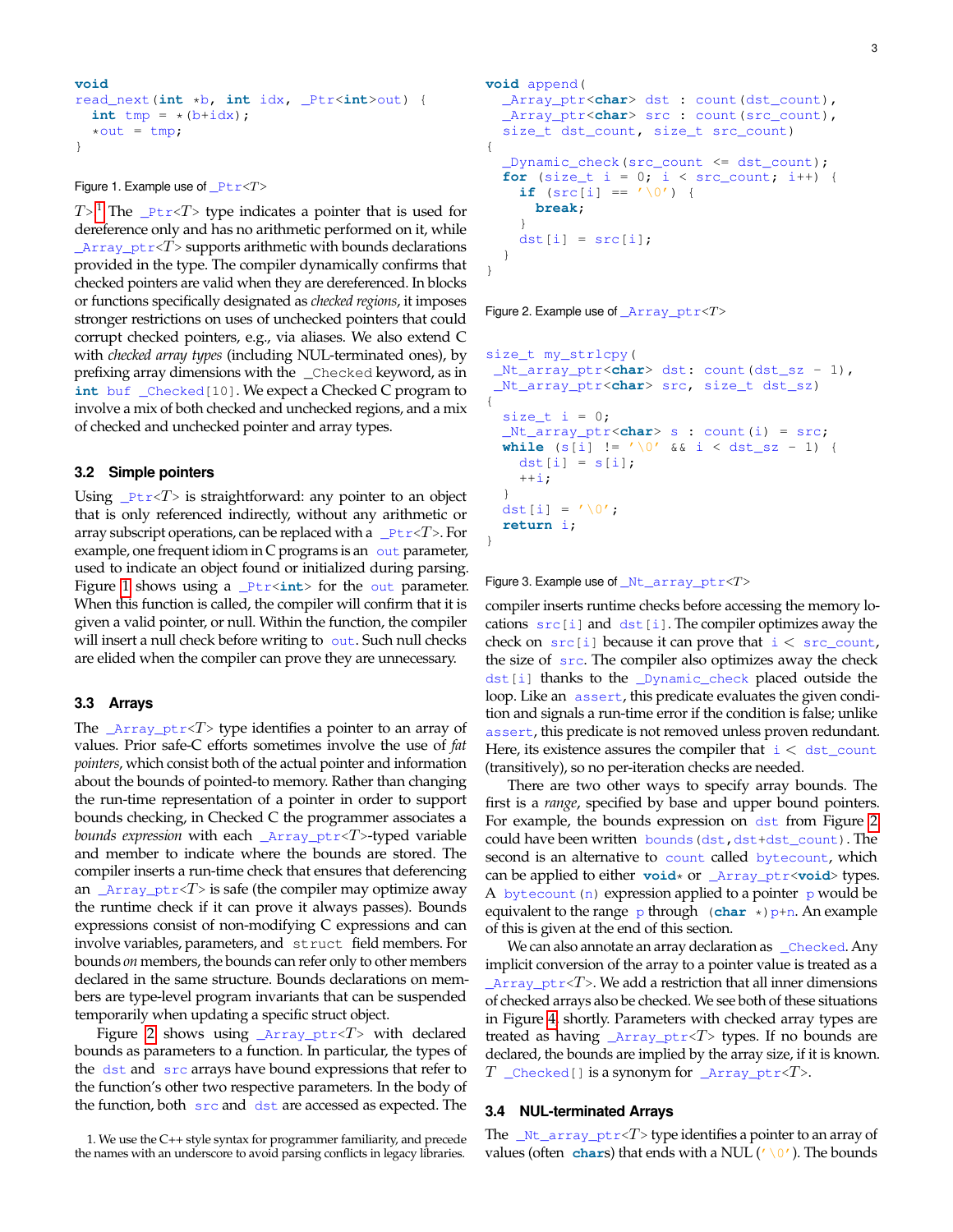```
void
read_next(int *b, int idx, _Ptr<int>out) {
  int tmp = * (b + idx);
  *out = tmp;
}
```
#### <span id="page-2-1"></span>Figure 1. Example use of \_Ptr<T>

 $T$ >.<sup>[1](#page-2-0)</sup> The \_Ptr<T> type indicates a pointer that is used for dereference only and has no arithmetic performed on it, while  $\text{Array\_ptr}$  supports arithmetic with bounds declarations provided in the type. The compiler dynamically confirms that checked pointers are valid when they are dereferenced. In blocks or functions specifically designated as *checked regions*, it imposes stronger restrictions on uses of unchecked pointers that could corrupt checked pointers, e.g., via aliases. We also extend C with *checked array types* (including NUL-terminated ones), by prefixing array dimensions with the \_Checked keyword, as in **int** buf \_Checked[10]. We expect a Checked C program to involve a mix of both checked and unchecked regions, and a mix of checked and unchecked pointer and array types.

### **3.2 Simple pointers**

Using  $Ptr < T >$  is straightforward: any pointer to an object that is only referenced indirectly, without any arithmetic or array subscript operations, can be replaced with a  $\vphantom{\big|}_{\hphantom{1}=}\vphantom{\big|}_{\hphantom{1}=}\vphantom{\big|}_{\hphantom{1}=}\vphantom{\big|}_{\hphantom{1}=}\text{For}$ example, one frequent idiom in C programs is an out parameter, used to indicate an object found or initialized during parsing. Figure [1](#page-2-1) shows using a \_Ptr<**int**> for the out parameter. When this function is called, the compiler will confirm that it is given a valid pointer, or null. Within the function, the compiler will insert a null check before writing to  $_{\text{out}}$ . Such null checks are elided when the compiler can prove they are unnecessary.

#### **3.3 Arrays**

The  $\text{Array\_ptr}$  type identifies a pointer to an array of values. Prior safe-C efforts sometimes involve the use of *fat pointers*, which consist both of the actual pointer and information about the bounds of pointed-to memory. Rather than changing the run-time representation of a pointer in order to support bounds checking, in Checked C the programmer associates a *bounds expression* with each \_Array\_ptr<T>-typed variable and member to indicate where the bounds are stored. The compiler inserts a run-time check that ensures that deferencing an  $\text{Array\_ptr}\leq T$  is safe (the compiler may optimize away the runtime check if it can prove it always passes). Bounds expressions consist of non-modifying C expressions and can involve variables, parameters, and struct field members. For bounds *on* members, the bounds can refer only to other members declared in the same structure. Bounds declarations on members are type-level program invariants that can be suspended temporarily when updating a specific struct object.

Figure [2](#page-2-2) shows using  $Array\_ptr < T>$  with declared bounds as parameters to a function. In particular, the types of the dst and src arrays have bound expressions that refer to the function's other two respective parameters. In the body of the function, both src and dst are accessed as expected. The

<span id="page-2-0"></span>1. We use the C++ style syntax for programmer familiarity, and precede the names with an underscore to avoid parsing conflicts in legacy libraries.

```
void append(
  _Array_ptr<char> dst : count(dst_count),
  _Array_ptr<char> src : count(src_count),
  size_t dst_count, size_t src_count)
{
  _Dynamic_check(src_count <= dst_count);
  for (size_t i = 0; i < src_count; i++) {
    if (src[i] == ' \setminus 0') {
      break;
    }
    dst[i] = src[i];}
}
```
<span id="page-2-2"></span>Figure 2. Example use of \_Array\_ptr<T>

```
size_t my_strlcpy(
 _Nt_array_ptr<char> dst: count(dst_sz - 1),
 _Nt_array_ptr<char> src, size_t dst_sz)
{
  size t i = 0;
  _Nt_array_ptr<char> s : count(i) = src;
  while (s[i] != '\0' && i < dst_sz - 1) {
   dst[i] = s[i];++i;}
  dst[i] = '\0;
  return i;
}
```
<span id="page-2-3"></span>Figure 3. Example use of \_Nt\_array\_ptr<T>

compiler inserts runtime checks before accessing the memory locations  $src[i]$  and  $dst[i]$ . The compiler optimizes away the check on  $src[i]$  because it can prove that  $i < src_count$ , the size of src. The compiler also optimizes away the check dst[i] thanks to the \_Dynamic\_check placed outside the loop. Like an assert, this predicate evaluates the given condition and signals a run-time error if the condition is false; unlike assert, this predicate is not removed unless proven redundant. Here, its existence assures the compiler that  $i < dist_{count}$ (transitively), so no per-iteration checks are needed.

There are two other ways to specify array bounds. The first is a *range*, specified by base and upper bound pointers. For example, the bounds expression on dst from Figure [2](#page-2-2) could have been written bounds (dst, dst+dst\_count). The second is an alternative to count called bytecount, which can be applied to either **void**\* or \_Array\_ptr<**void**> types. A bytecount (n) expression applied to a pointer  $p$  would be equivalent to the range p through  $(\text{char } \star)$  p+n. An example of this is given at the end of this section.

We can also annotate an array declaration as \_Checked. Any implicit conversion of the array to a pointer value is treated as a  $\lbrack \text{Array\_ptr} \leq T \rbrack$ . We add a restriction that all inner dimensions of checked arrays also be checked. We see both of these situations in Figure [4,](#page-3-0) shortly. Parameters with checked array types are treated as having  $\text{Array\_ptr} < T$  types. If no bounds are declared, the bounds are implied by the array size, if it is known.  $T$  \_Checked[] is a synonym for \_Array\_ptr< $T$ >.

#### **3.4 NUL-terminated Arrays**

The  $N_t$  array  $ptr < T$  type identifies a pointer to an array of values (often **chars**) that ends with a NUL  $('\ 0')$ . The bounds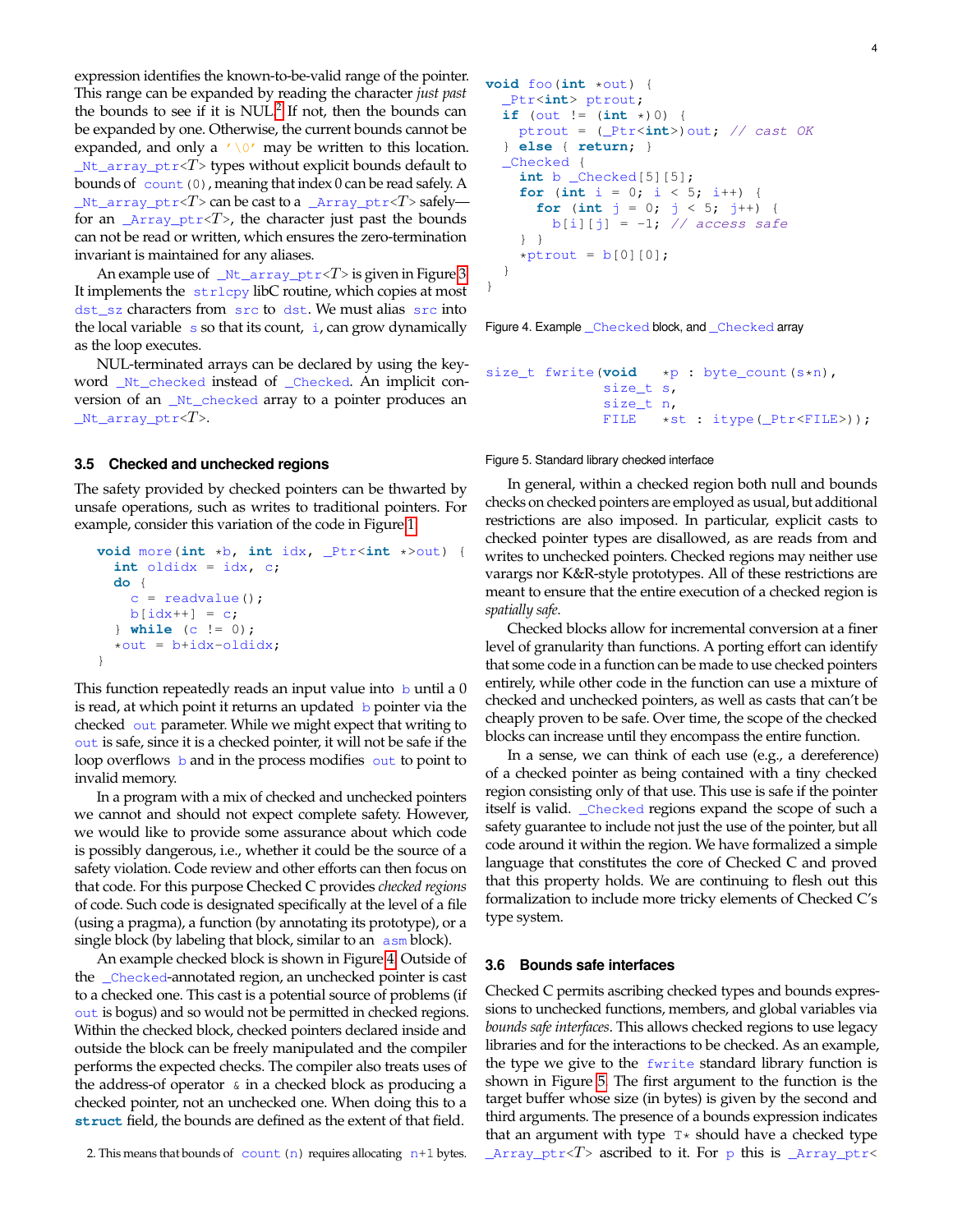expression identifies the known-to-be-valid range of the pointer. This range can be expanded by reading the character *just past* the bounds to see if it is NUL. $<sup>2</sup>$  $<sup>2</sup>$  $<sup>2</sup>$  If not, then the bounds can</sup> be expanded by one. Otherwise, the current bounds cannot be expanded, and only a  $\sqrt{0'}$  may be written to this location.  $Nt$  array\_ptr< $T$ > types without explicit bounds default to bounds of  $\frac{count(0)}{n}$ , meaning that index 0 can be read safely. A \_Nt\_array\_ptr< $T$ > can be cast to a \_Array\_ptr< $T$ > safely for an  $\text{Array\_ptr}$  the character just past the bounds can not be read or written, which ensures the zero-termination invariant is maintained for any aliases.

An example use of  $Nt_arraypt < T >$  is given in Figure [3.](#page-2-3) It implements the  $strl$ cpy libC routine, which copies at most dst\_sz characters from src to dst. We must alias src into the local variable s so that its count,  $\pm$ , can grow dynamically as the loop executes.

NUL-terminated arrays can be declared by using the keyword \_Nt\_checked instead of \_Checked. An implicit conversion of an \_Nt\_checked array to a pointer produces an  $Nt$ \_array\_ptr< $T$ >.

#### **3.5 Checked and unchecked regions**

The safety provided by checked pointers can be thwarted by unsafe operations, such as writes to traditional pointers. For example, consider this variation of the code in Figure [1:](#page-2-1)

```
void more(int *b, int idx, _Ptr<int *>out) {
  int oldidx = idx, c;
  do {
   c = readvalue();
   b[idx++] = c;} while (c != 0);
  *out = b+idx-oldidx;
}
```
This function repeatedly reads an input value into  $\mathbf b$  until a 0 is read, at which point it returns an updated  $\bar{b}$  pointer via the checked out parameter. While we might expect that writing to out is safe, since it is a checked pointer, it will not be safe if the loop overflows b and in the process modifies out to point to invalid memory.

In a program with a mix of checked and unchecked pointers we cannot and should not expect complete safety. However, we would like to provide some assurance about which code is possibly dangerous, i.e., whether it could be the source of a safety violation. Code review and other efforts can then focus on that code. For this purpose Checked C provides *checked regions* of code. Such code is designated specifically at the level of a file (using a pragma), a function (by annotating its prototype), or a single block (by labeling that block, similar to an asm block).

<span id="page-3-1"></span>An example checked block is shown in Figure [4.](#page-3-0) Outside of the \_Checked-annotated region, an unchecked pointer is cast to a checked one. This cast is a potential source of problems (if out is bogus) and so would not be permitted in checked regions. Within the checked block, checked pointers declared inside and outside the block can be freely manipulated and the compiler performs the expected checks. The compiler also treats uses of the address-of operator  $\in$  in a checked block as producing a checked pointer, not an unchecked one. When doing this to a **struct** field, the bounds are defined as the extent of that field.

```
void foo(int *out) {
  _Ptr<int> ptrout;
  if (out != (int *)0) {
   ptrout = (_Ptr<int>)out; // cast OK
  } else { return; }
 _Checked {
   int b _Checked[5][5];
    for (int i = 0; i < 5; i++) {
      for (int j = 0; j < 5; j++) {
        b[i][j] = -1; // access safe
    } }
    *ptrout = b[0][0];}
}
```
<span id="page-3-0"></span>Figure 4. Example \_Checked block, and \_Checked array

```
size_t fwrite(void *p : byte_count(s*n),
             size_t s,
             size_t n,
             FILE *st : itype(_Ptr<FILE>));
```
#### <span id="page-3-2"></span>Figure 5. Standard library checked interface

In general, within a checked region both null and bounds checks on checked pointers are employed as usual, but additional restrictions are also imposed. In particular, explicit casts to checked pointer types are disallowed, as are reads from and writes to unchecked pointers. Checked regions may neither use varargs nor K&R-style prototypes. All of these restrictions are meant to ensure that the entire execution of a checked region is *spatially safe*.

Checked blocks allow for incremental conversion at a finer level of granularity than functions. A porting effort can identify that some code in a function can be made to use checked pointers entirely, while other code in the function can use a mixture of checked and unchecked pointers, as well as casts that can't be cheaply proven to be safe. Over time, the scope of the checked blocks can increase until they encompass the entire function.

In a sense, we can think of each use (e.g., a dereference) of a checked pointer as being contained with a tiny checked region consisting only of that use. This use is safe if the pointer itself is valid. \_Checked regions expand the scope of such a safety guarantee to include not just the use of the pointer, but all code around it within the region. We have formalized a simple language that constitutes the core of Checked C and proved that this property holds. We are continuing to flesh out this formalization to include more tricky elements of Checked C's type system.

#### **3.6 Bounds safe interfaces**

Checked C permits ascribing checked types and bounds expressions to unchecked functions, members, and global variables via *bounds safe interfaces*. This allows checked regions to use legacy libraries and for the interactions to be checked. As an example, the type we give to the  $f$ <sub>write</sub> standard library function is shown in Figure [5.](#page-3-2) The first argument to the function is the target buffer whose size (in bytes) is given by the second and third arguments. The presence of a bounds expression indicates that an argument with type  $T*$  should have a checked type  $\lnot$ Array $\lnot$ ptr< $T$ > ascribed to it. For p this is  $\lnot$ Array $\lnot$ ptr<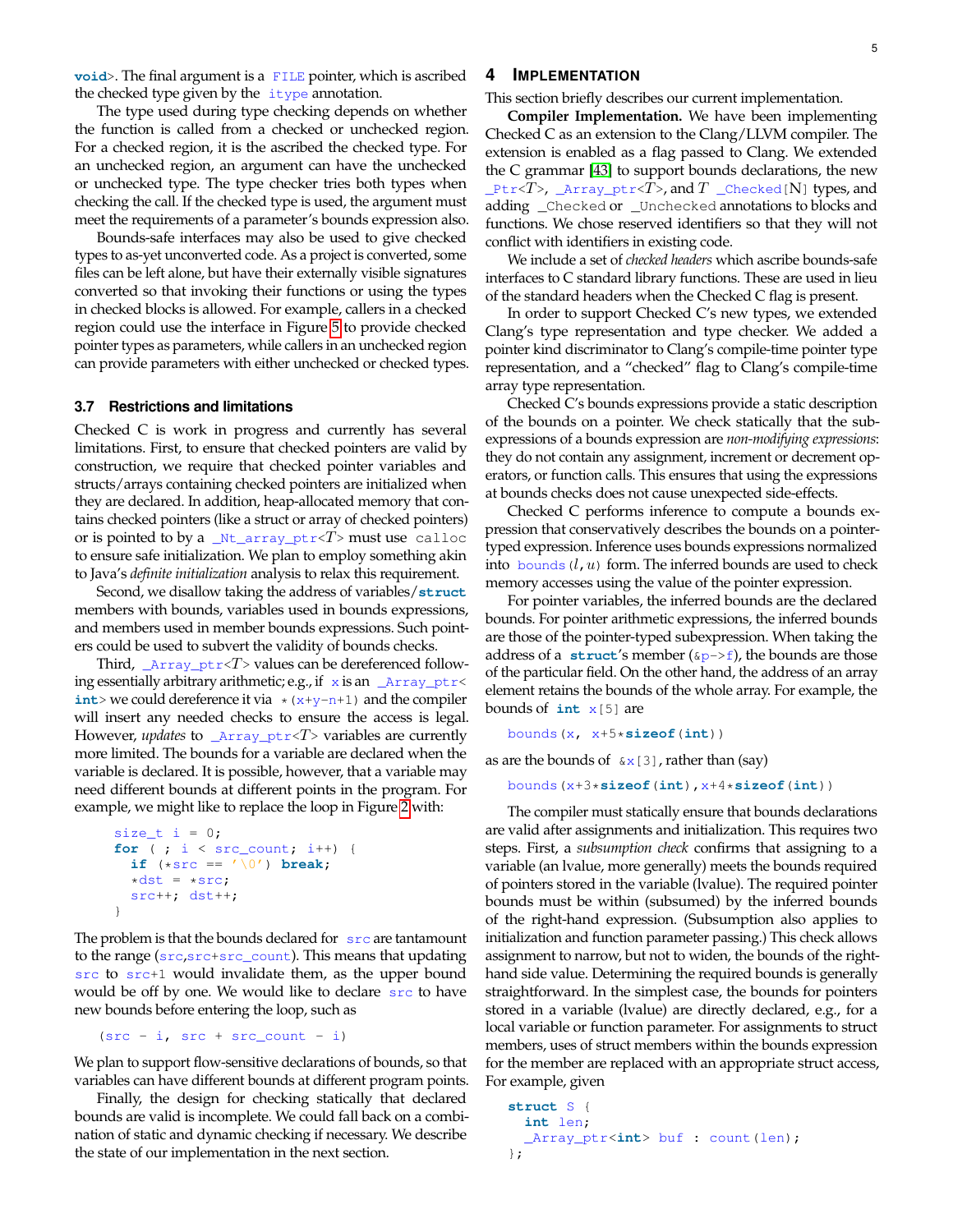**void**>. The final argument is a FILE pointer, which is ascribed the checked type given by the  $i$ type annotation.

The type used during type checking depends on whether the function is called from a checked or unchecked region. For a checked region, it is the ascribed the checked type. For an unchecked region, an argument can have the unchecked or unchecked type. The type checker tries both types when checking the call. If the checked type is used, the argument must meet the requirements of a parameter's bounds expression also.

Bounds-safe interfaces may also be used to give checked types to as-yet unconverted code. As a project is converted, some files can be left alone, but have their externally visible signatures converted so that invoking their functions or using the types in checked blocks is allowed. For example, callers in a checked region could use the interface in Figure [5](#page-3-2) to provide checked pointer types as parameters, while callers in an unchecked region can provide parameters with either unchecked or checked types.

#### **3.7 Restrictions and limitations**

Checked C is work in progress and currently has several limitations. First, to ensure that checked pointers are valid by construction, we require that checked pointer variables and structs/arrays containing checked pointers are initialized when they are declared. In addition, heap-allocated memory that contains checked pointers (like a struct or array of checked pointers) or is pointed to by a  $N_t$  array\_ptr<T> must use calloc to ensure safe initialization. We plan to employ something akin to Java's *definite initialization* analysis to relax this requirement.

Second, we disallow taking the address of variables/**struct** members with bounds, variables used in bounds expressions, and members used in member bounds expressions. Such pointers could be used to subvert the validity of bounds checks.

Third,  $\lnot$  Array  $ptr < T$  values can be dereferenced following essentially arbitrary arithmetic; e.g., if  $x$  is an  $\text{Array\_ptr}$ **int** > we could dereference it via  $\star$  ( $x+y-n+1$ ) and the compiler will insert any needed checks to ensure the access is legal. However, *updates* to \_Array\_ptr<T> variables are currently more limited. The bounds for a variable are declared when the variable is declared. It is possible, however, that a variable may need different bounds at different points in the program. For example, we might like to replace the loop in Figure [2](#page-2-2) with:

```
size_t i = 0;
for (i) i < src_count; i++) {
  if (*src == '\0') break;
  \stardst = \starsrc;
  src++; dst++;
}
```
The problem is that the bounds declared for src are tantamount to the range (src,src+src\_count). This means that updating src to src+1 would invalidate them, as the upper bound would be off by one. We would like to declare src to have new bounds before entering the loop, such as

 $(\text{src} - i, \text{ src} + \text{src\_count} - i)$ 

We plan to support flow-sensitive declarations of bounds, so that variables can have different bounds at different program points.

Finally, the design for checking statically that declared bounds are valid is incomplete. We could fall back on a combination of static and dynamic checking if necessary. We describe the state of our implementation in the next section.

## **4 IMPLEMENTATION**

This section briefly describes our current implementation.

**Compiler Implementation.** We have been implementing Checked C as an extension to the Clang/LLVM compiler. The extension is enabled as a flag passed to Clang. We extended the C grammar [\[43\]](#page-7-32) to support bounds declarations, the new  $Ptr < T$ ,  $\frac{1}{2}$   $\frac{1}{2}$   $\frac{1}{2}$   $\frac{1}{2}$   $\frac{1}{2}$   $\frac{1}{2}$   $\frac{1}{2}$   $\frac{1}{2}$   $\frac{1}{2}$   $\frac{1}{2}$   $\frac{1}{2}$   $\frac{1}{2}$   $\frac{1}{2}$   $\frac{1}{2}$   $\frac{1}{2}$   $\frac{1}{2}$   $\frac{1}{2}$   $\frac{1}{2}$   $\frac{1}{2}$   $\frac{1}{2}$   $\frac{1}{2}$   $\frac$ adding \_Checked or \_Unchecked annotations to blocks and functions. We chose reserved identifiers so that they will not conflict with identifiers in existing code.

We include a set of *checked headers* which ascribe bounds-safe interfaces to C standard library functions. These are used in lieu of the standard headers when the Checked C flag is present.

In order to support Checked C's new types, we extended Clang's type representation and type checker. We added a pointer kind discriminator to Clang's compile-time pointer type representation, and a "checked" flag to Clang's compile-time array type representation.

Checked C's bounds expressions provide a static description of the bounds on a pointer. We check statically that the subexpressions of a bounds expression are *non-modifying expressions*: they do not contain any assignment, increment or decrement operators, or function calls. This ensures that using the expressions at bounds checks does not cause unexpected side-effects.

Checked C performs inference to compute a bounds expression that conservatively describes the bounds on a pointertyped expression. Inference uses bounds expressions normalized into bounds  $(l, u)$  form. The inferred bounds are used to check memory accesses using the value of the pointer expression.

For pointer variables, the inferred bounds are the declared bounds. For pointer arithmetic expressions, the inferred bounds are those of the pointer-typed subexpression. When taking the address of a **struct's** member  $(\& p \rightarrow f)$ , the bounds are those of the particular field. On the other hand, the address of an array element retains the bounds of the whole array. For example, the bounds of **int** x[5] are

bounds(x, x+5\***sizeof**(**int**))

as are the bounds of  $\kappa \times [3]$ , rather than (say)

bounds(x+3\***sizeof**(**int**),x+4\***sizeof**(**int**))

The compiler must statically ensure that bounds declarations are valid after assignments and initialization. This requires two steps. First, a *subsumption check* confirms that assigning to a variable (an lvalue, more generally) meets the bounds required of pointers stored in the variable (lvalue). The required pointer bounds must be within (subsumed) by the inferred bounds of the right-hand expression. (Subsumption also applies to initialization and function parameter passing.) This check allows assignment to narrow, but not to widen, the bounds of the righthand side value. Determining the required bounds is generally straightforward. In the simplest case, the bounds for pointers stored in a variable (lvalue) are directly declared, e.g., for a local variable or function parameter. For assignments to struct members, uses of struct members within the bounds expression for the member are replaced with an appropriate struct access, For example, given

```
struct S {
  int len;
  _Array_ptr<int> buf : count(len);
};
```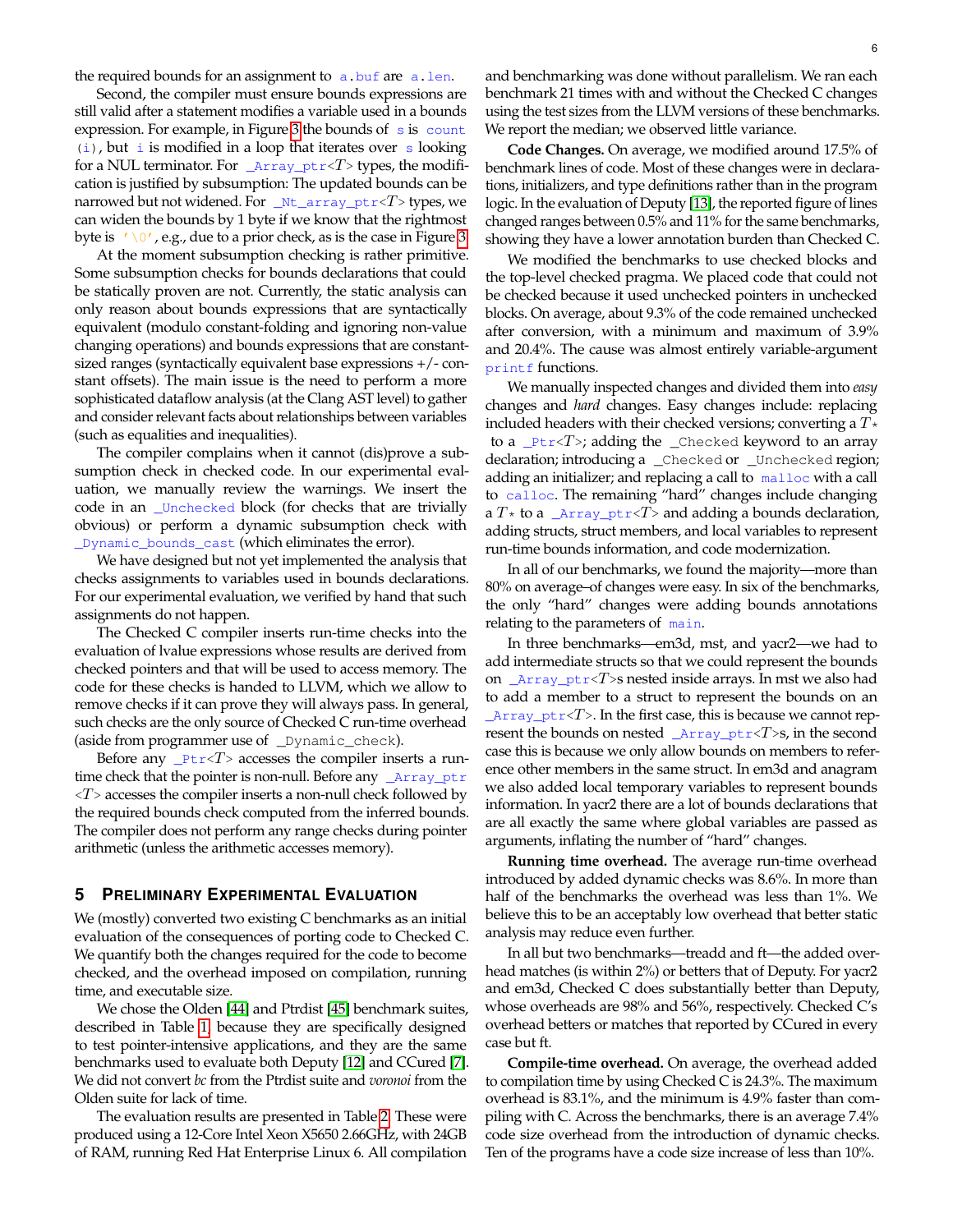the required bounds for an assignment to  $a$ . buf are  $a$ . len.

Second, the compiler must ensure bounds expressions are still valid after a statement modifies a variable used in a bounds expression. For example, in Figure [3](#page-2-3) the bounds of s is count  $(i)$ , but i is modified in a loop that iterates over s looking for a NUL terminator. For  $\text{Array\_ptr}\leq T$  types, the modification is justified by subsumption: The updated bounds can be narrowed but not widened. For  $N_t$  array ptr  $T$  types, we can widen the bounds by 1 byte if we know that the rightmost byte is  $\sqrt{0}$ , e.g., due to a prior check, as is the case in Figure [3.](#page-2-3)

At the moment subsumption checking is rather primitive. Some subsumption checks for bounds declarations that could be statically proven are not. Currently, the static analysis can only reason about bounds expressions that are syntactically equivalent (modulo constant-folding and ignoring non-value changing operations) and bounds expressions that are constantsized ranges (syntactically equivalent base expressions +/- constant offsets). The main issue is the need to perform a more sophisticated dataflow analysis (at the Clang AST level) to gather and consider relevant facts about relationships between variables (such as equalities and inequalities).

The compiler complains when it cannot (dis)prove a subsumption check in checked code. In our experimental evaluation, we manually review the warnings. We insert the code in an \_Unchecked block (for checks that are trivially obvious) or perform a dynamic subsumption check with \_Dynamic\_bounds\_cast (which eliminates the error).

We have designed but not yet implemented the analysis that checks assignments to variables used in bounds declarations. For our experimental evaluation, we verified by hand that such assignments do not happen.

The Checked C compiler inserts run-time checks into the evaluation of lvalue expressions whose results are derived from checked pointers and that will be used to access memory. The code for these checks is handed to LLVM, which we allow to remove checks if it can prove they will always pass. In general, such checks are the only source of Checked C run-time overhead (aside from programmer use of \_Dynamic\_check).

Before any  $\varepsilon$   $\varepsilon$   $\varepsilon$   $\to$   $\varepsilon$  accesses the compiler inserts a runtime check that the pointer is non-null. Before any \_Array\_ptr  $\langle T \rangle$  accesses the compiler inserts a non-null check followed by the required bounds check computed from the inferred bounds. The compiler does not perform any range checks during pointer arithmetic (unless the arithmetic accesses memory).

## **5 PRELIMINARY EXPERIMENTAL EVALUATION**

We (mostly) converted two existing C benchmarks as an initial evaluation of the consequences of porting code to Checked C. We quantify both the changes required for the code to become checked, and the overhead imposed on compilation, running time, and executable size.

We chose the Olden [\[44\]](#page-7-33) and Ptrdist [\[45\]](#page-7-34) benchmark suites, described in Table [1,](#page-6-10) because they are specifically designed to test pointer-intensive applications, and they are the same benchmarks used to evaluate both Deputy [\[12\]](#page-7-1) and CCured [\[7\]](#page-6-6). We did not convert *bc* from the Ptrdist suite and *voronoi* from the Olden suite for lack of time.

The evaluation results are presented in Table [2.](#page-6-11) These were produced using a 12-Core Intel Xeon X5650 2.66GHz, with 24GB of RAM, running Red Hat Enterprise Linux 6. All compilation

and benchmarking was done without parallelism. We ran each benchmark 21 times with and without the Checked C changes using the test sizes from the LLVM versions of these benchmarks. We report the median; we observed little variance.

**Code Changes.** On average, we modified around 17.5% of benchmark lines of code. Most of these changes were in declarations, initializers, and type definitions rather than in the program logic. In the evaluation of Deputy [\[13\]](#page-7-2), the reported figure of lines changed ranges between 0.5% and 11% for the same benchmarks, showing they have a lower annotation burden than Checked C.

We modified the benchmarks to use checked blocks and the top-level checked pragma. We placed code that could not be checked because it used unchecked pointers in unchecked blocks. On average, about 9.3% of the code remained unchecked after conversion, with a minimum and maximum of 3.9% and 20.4%. The cause was almost entirely variable-argument printf functions.

We manually inspected changes and divided them into *easy* changes and *hard* changes. Easy changes include: replacing included headers with their checked versions; converting a  $T^*$ to a  ${\rm Pr}$   $T$ ; adding the  ${\rm Le}$ checked keyword to an array declaration; introducing a \_Checked or \_Unchecked region; adding an initializer; and replacing a call to malloc with a call to calloc. The remaining "hard" changes include changing a  $T^*$  to a  $\text{Array\_ptr} < T$  and adding a bounds declaration, adding structs, struct members, and local variables to represent run-time bounds information, and code modernization.

In all of our benchmarks, we found the majority—more than 80% on average–of changes were easy. In six of the benchmarks, the only "hard" changes were adding bounds annotations relating to the parameters of main.

In three benchmarks—em3d, mst, and yacr2—we had to add intermediate structs so that we could represent the bounds on  $_{\text{Array\_ptr} < T > s}$  nested inside arrays. In mst we also had to add a member to a struct to represent the bounds on an  $\lnot$ Array $\lnot$ ptr< $T$ >. In the first case, this is because we cannot represent the bounds on nested  $\text{Array\_ptr} < T> s$ , in the second case this is because we only allow bounds on members to reference other members in the same struct. In em3d and anagram we also added local temporary variables to represent bounds information. In yacr2 there are a lot of bounds declarations that are all exactly the same where global variables are passed as arguments, inflating the number of "hard" changes.

**Running time overhead.** The average run-time overhead introduced by added dynamic checks was 8.6%. In more than half of the benchmarks the overhead was less than 1%. We believe this to be an acceptably low overhead that better static analysis may reduce even further.

In all but two benchmarks—treadd and ft—the added overhead matches (is within 2%) or betters that of Deputy. For yacr2 and em3d, Checked C does substantially better than Deputy, whose overheads are 98% and 56%, respectively. Checked C's overhead betters or matches that reported by CCured in every case but ft.

**Compile-time overhead.** On average, the overhead added to compilation time by using Checked C is 24.3%. The maximum overhead is 83.1%, and the minimum is 4.9% faster than compiling with C. Across the benchmarks, there is an average 7.4% code size overhead from the introduction of dynamic checks. Ten of the programs have a code size increase of less than 10%.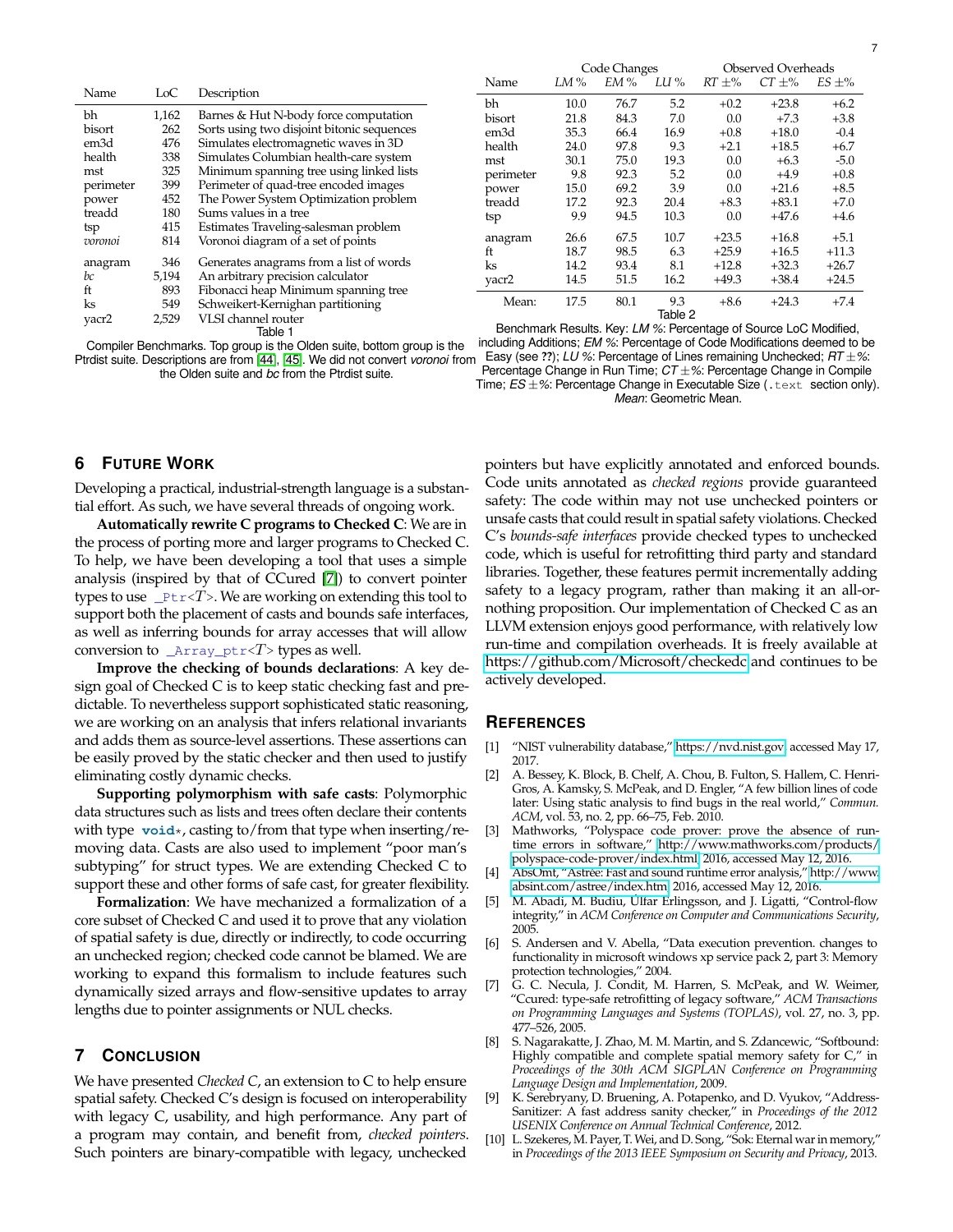| Name             | LoC   | Description                                                                 | Name              | LM%  | $EM\%$ | LU%  | $RT \pm \%$ | $CT \pm \%$ | $ES \pm\%$ |
|------------------|-------|-----------------------------------------------------------------------------|-------------------|------|--------|------|-------------|-------------|------------|
|                  |       |                                                                             | bh                | 10.0 | 76.7   | 5.2  | $+0.2$      | $+23.8$     | $+6.2$     |
| bh               | 1,162 | Barnes & Hut N-body force computation                                       | bisort            | 21.8 | 84.3   | 7.0  | 0.0         | $+7.3$      | $+3.8$     |
| bisort           | 262   | Sorts using two disjoint bitonic sequences                                  | em <sub>3d</sub>  | 35.3 | 66.4   | 16.9 | $+0.8$      | $+18.0$     | $-0.4$     |
| em <sub>3d</sub> | 476   | Simulates electromagnetic waves in 3D                                       | health            | 24.0 | 97.8   | 9.3  | $+2.1$      | $+18.5$     | $+6.7$     |
| health           | 338   | Simulates Columbian health-care system                                      | mst               | 30.1 | 75.0   | 19.3 | 0.0         | $+6.3$      | $-5.0$     |
| mst              | 325   | Minimum spanning tree using linked lists                                    | perimeter         | 9.8  | 92.3   | 5.2  | 0.0         | $+4.9$      | $+0.8$     |
| perimeter        | 399   | Perimeter of quad-tree encoded images                                       | power             | 15.0 | 69.2   | 3.9  | 0.0         | $+21.6$     | $+8.5$     |
| power            | 452   | The Power System Optimization problem                                       | treadd            | 17.2 | 92.3   | 20.4 | $+8.3$      | $+83.1$     | $+7.0$     |
| treadd           | 180   | Sums values in a tree                                                       | tsp               | 9.9  | 94.5   | 10.3 | 0.0         | $+47.6$     | $+4.6$     |
| tsp              | 415   | Estimates Traveling-salesman problem                                        |                   |      |        |      |             |             |            |
| voronoi          | 814   | Voronoi diagram of a set of points                                          | anagram           | 26.6 | 67.5   | 10.7 | $+23.5$     | $+16.8$     | $+5.1$     |
|                  | 346   | Generates anagrams from a list of words                                     | ft                | 18.7 | 98.5   | 6.3  | $+25.9$     | $+16.5$     | $+11.3$    |
| anagram<br>bc    | 5,194 | An arbitrary precision calculator                                           | ks                | 14.2 | 93.4   | 8.1  | $+12.8$     | $+32.3$     | $+26.7$    |
| ft               | 893   |                                                                             | yacr <sub>2</sub> | 14.5 | 51.5   | 16.2 | $+49.3$     | $+38.4$     | $+24.5$    |
| ks               | 549   | Fibonacci heap Minimum spanning tree                                        | Mean:             | 17.5 | 80.1   | 9.3  | $+8.6$      | $+24.3$     | $+7.4$     |
| yacr2            | 2,529 | Schweikert-Kernighan partitioning<br>VLSI channel router                    | Table 2           |      |        |      |             |             |            |
|                  |       | Benchmark Results. Key: LM %: Percentage of Source LoC Modified.<br>Table 1 |                   |      |        |      |             |             |            |
|                  |       |                                                                             |                   |      |        |      |             |             |            |

<span id="page-6-10"></span>Compiler Benchmarks. Top group is the Olden suite, bottom group is the Ptrdist suite. Descriptions are from [\[44\]](#page-7-33), [\[45\]](#page-7-34). We did not convert *voronoi* from Easy (see **??**); *LU %*: Percentage of Lines remaining Unchecked; *RT* ±*%*: the Olden suite and *bc* from the Ptrdist suite. including Additions; *EM %*: Percentage of Code Modifications deemed to be

<span id="page-6-11"></span>Percentage Change in Run Time; *CT* ±*%*: Percentage Change in Compile Time; *ES*  $\pm$ %: Percentage Change in Executable Size (.text section only). *Mean*: Geometric Mean.

Code Changes Observed Overheads

## **6 FUTURE WORK**

Developing a practical, industrial-strength language is a substantial effort. As such, we have several threads of ongoing work.

**Automatically rewrite C programs to Checked C**: We are in the process of porting more and larger programs to Checked C. To help, we have been developing a tool that uses a simple analysis (inspired by that of CCured [\[7\]](#page-6-6)) to convert pointer types to use  $p_t r < T$ . We are working on extending this tool to support both the placement of casts and bounds safe interfaces, as well as inferring bounds for array accesses that will allow conversion to \_Array\_ptr<T> types as well.

**Improve the checking of bounds declarations**: A key design goal of Checked C is to keep static checking fast and predictable. To nevertheless support sophisticated static reasoning, we are working on an analysis that infers relational invariants and adds them as source-level assertions. These assertions can be easily proved by the static checker and then used to justify eliminating costly dynamic checks.

**Supporting polymorphism with safe casts**: Polymorphic data structures such as lists and trees often declare their contents with type **void**\*, casting to/from that type when inserting/removing data. Casts are also used to implement "poor man's subtyping" for struct types. We are extending Checked C to support these and other forms of safe cast, for greater flexibility.

**Formalization**: We have mechanized a formalization of a core subset of Checked C and used it to prove that any violation of spatial safety is due, directly or indirectly, to code occurring an unchecked region; checked code cannot be blamed. We are working to expand this formalism to include features such dynamically sized arrays and flow-sensitive updates to array lengths due to pointer assignments or NUL checks.

## **7 CONCLUSION**

We have presented *Checked C*, an extension to C to help ensure spatial safety. Checked C's design is focused on interoperability with legacy C, usability, and high performance. Any part of a program may contain, and benefit from, *checked pointers*. Such pointers are binary-compatible with legacy, unchecked

pointers but have explicitly annotated and enforced bounds. Code units annotated as *checked regions* provide guaranteed safety: The code within may not use unchecked pointers or unsafe casts that could result in spatial safety violations. Checked C's *bounds-safe interfaces* provide checked types to unchecked code, which is useful for retrofitting third party and standard libraries. Together, these features permit incrementally adding safety to a legacy program, rather than making it an all-ornothing proposition. Our implementation of Checked C as an LLVM extension enjoys good performance, with relatively low run-time and compilation overheads. It is freely available at <https://github.com/Microsoft/checkedc> and continues to be actively developed.

#### **REFERENCES**

- <span id="page-6-0"></span>[1] "NIST vulnerability database," [https://nvd.nist.gov,](https://nvd.nist.gov) accessed May 17, 2017.
- <span id="page-6-1"></span>[2] A. Bessey, K. Block, B. Chelf, A. Chou, B. Fulton, S. Hallem, C. Henri-Gros, A. Kamsky, S. McPeak, and D. Engler, "A few billion lines of code later: Using static analysis to find bugs in the real world," *Commun. ACM*, vol. 53, no. 2, pp. 66–75, Feb. 2010.
- <span id="page-6-2"></span>[3] Mathworks, "Polyspace code prover: prove the absence of runtime errors in software," [http://www.mathworks.com/products/](http://www.mathworks.com/products/polyspace-code-prover/index.html) [polyspace-code-prover/index.html,](http://www.mathworks.com/products/polyspace-code-prover/index.html) 2016, accessed May 12, 2016.
- <span id="page-6-3"></span>[4] AbsOmt, "Astrée: Fast and sound runtime error analysis," [http://www.](http://www.absint.com/astree/index.htm) [absint.com/astree/index.htm,](http://www.absint.com/astree/index.htm) 2016, accessed May 12, 2016.
- <span id="page-6-4"></span>[5] M. Abadi, M. Budiu, Úlfar Erlingsson, and J. Ligatti, "Control-flow integrity," in *ACM Conference on Computer and Communications Security*, 2005.
- <span id="page-6-5"></span>[6] S. Andersen and V. Abella, "Data execution prevention. changes to functionality in microsoft windows xp service pack 2, part 3: Memory protection technologies," 2004.
- <span id="page-6-6"></span>[7] G. C. Necula, J. Condit, M. Harren, S. McPeak, and W. Weimer, "Ccured: type-safe retrofitting of legacy software," *ACM Transactions on Programming Languages and Systems (TOPLAS)*, vol. 27, no. 3, pp. 477–526, 2005.
- <span id="page-6-7"></span>[8] S. Nagarakatte, J. Zhao, M. M. Martin, and S. Zdancewic, "Softbound: Highly compatible and complete spatial memory safety for C," in *Proceedings of the 30th ACM SIGPLAN Conference on Programming Language Design and Implementation*, 2009.
- <span id="page-6-8"></span>[9] K. Serebryany, D. Bruening, A. Potapenko, and D. Vyukov, "Address-Sanitizer: A fast address sanity checker," in *Proceedings of the 2012 USENIX Conference on Annual Technical Conference*, 2012.
- <span id="page-6-9"></span>[10] L. Szekeres, M. Payer, T. Wei, and D. Song, "Sok: Eternal war in memory," in *Proceedings of the 2013 IEEE Symposium on Security and Privacy*, 2013.